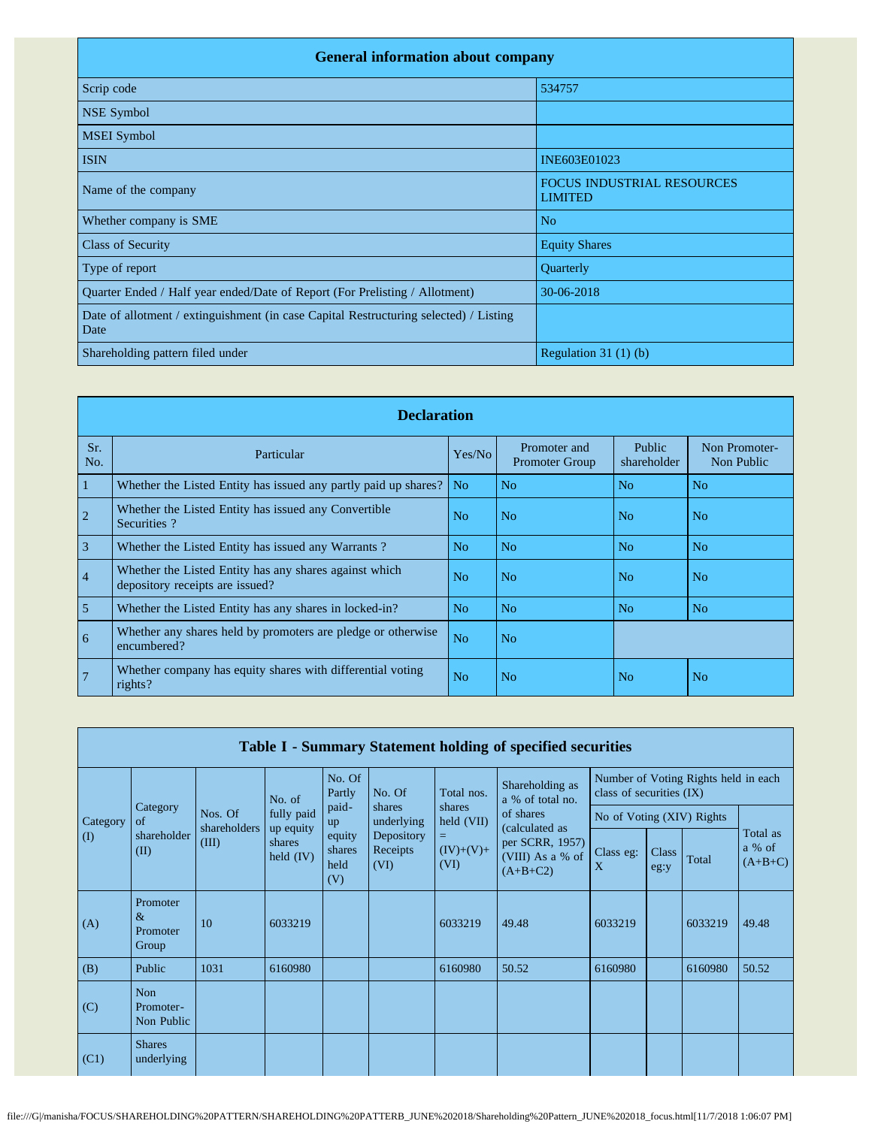| <b>General information about company</b>                                                      |                                                     |  |  |  |  |  |  |  |
|-----------------------------------------------------------------------------------------------|-----------------------------------------------------|--|--|--|--|--|--|--|
| Scrip code                                                                                    | 534757                                              |  |  |  |  |  |  |  |
| NSE Symbol                                                                                    |                                                     |  |  |  |  |  |  |  |
| <b>MSEI</b> Symbol                                                                            |                                                     |  |  |  |  |  |  |  |
| <b>ISIN</b>                                                                                   | INE603E01023                                        |  |  |  |  |  |  |  |
| Name of the company                                                                           | <b>FOCUS INDUSTRIAL RESOURCES</b><br><b>LIMITED</b> |  |  |  |  |  |  |  |
| Whether company is SME                                                                        | N <sub>o</sub>                                      |  |  |  |  |  |  |  |
| <b>Class of Security</b>                                                                      | <b>Equity Shares</b>                                |  |  |  |  |  |  |  |
| Type of report                                                                                | Quarterly                                           |  |  |  |  |  |  |  |
| Quarter Ended / Half year ended/Date of Report (For Prelisting / Allotment)                   | 30-06-2018                                          |  |  |  |  |  |  |  |
| Date of allotment / extinguishment (in case Capital Restructuring selected) / Listing<br>Date |                                                     |  |  |  |  |  |  |  |
| Shareholding pattern filed under                                                              | Regulation $31(1)(b)$                               |  |  |  |  |  |  |  |

|                | <b>Declaration</b>                                                                        |                |                                       |                       |                             |  |  |  |  |  |
|----------------|-------------------------------------------------------------------------------------------|----------------|---------------------------------------|-----------------------|-----------------------------|--|--|--|--|--|
| Sr.<br>No.     | Particular                                                                                | Yes/No         | Promoter and<br><b>Promoter Group</b> | Public<br>shareholder | Non Promoter-<br>Non Public |  |  |  |  |  |
| $\vert$ 1      | Whether the Listed Entity has issued any partly paid up shares?                           | No.            | N <sub>o</sub>                        | N <sub>o</sub>        | N <sub>o</sub>              |  |  |  |  |  |
| $\overline{2}$ | Whether the Listed Entity has issued any Convertible<br>Securities?                       | No             | N <sub>o</sub>                        | N <sub>0</sub>        | N <sub>o</sub>              |  |  |  |  |  |
| $\overline{3}$ | Whether the Listed Entity has issued any Warrants?                                        | N <sub>o</sub> | N <sub>o</sub>                        | N <sub>o</sub>        | N <sub>o</sub>              |  |  |  |  |  |
| $\vert 4$      | Whether the Listed Entity has any shares against which<br>depository receipts are issued? | No             | N <sub>o</sub>                        | N <sub>o</sub>        | N <sub>o</sub>              |  |  |  |  |  |
| $\overline{5}$ | Whether the Listed Entity has any shares in locked-in?                                    | N <sub>o</sub> | N <sub>o</sub>                        | N <sub>o</sub>        | N <sub>o</sub>              |  |  |  |  |  |
| $\overline{6}$ | Whether any shares held by promoters are pledge or otherwise<br>encumbered?               | N <sub>o</sub> | N <sub>o</sub>                        |                       |                             |  |  |  |  |  |
| $\overline{7}$ | Whether company has equity shares with differential voting<br>rights?                     | N <sub>o</sub> | N <sub>o</sub>                        | N <sub>o</sub>        | N <sub>o</sub>              |  |  |  |  |  |

|                           | Table I - Summary Statement holding of specified securities |                         |                                                  |                                 |                                |                          |                                                                     |                                                                  |               |         |                                 |
|---------------------------|-------------------------------------------------------------|-------------------------|--------------------------------------------------|---------------------------------|--------------------------------|--------------------------|---------------------------------------------------------------------|------------------------------------------------------------------|---------------|---------|---------------------------------|
|                           |                                                             |                         | No. of                                           | No. Of<br>Partly                | No. Of                         | Total nos.               | Shareholding as<br>a % of total no.                                 | Number of Voting Rights held in each<br>class of securities (IX) |               |         |                                 |
| Category                  | Category<br>of                                              | Nos. Of                 | fully paid<br>up equity<br>shares<br>held $(IV)$ | paid-<br>up                     | shares<br>underlying           | shares<br>held (VII)     | of shares                                                           | No of Voting (XIV) Rights                                        |               |         |                                 |
| $\mathcal{L}(\mathbf{I})$ | shareholder<br>(II)                                         | shareholders  <br>(III) |                                                  | equity<br>shares<br>held<br>(V) | Depository<br>Receipts<br>(VI) | =<br>$(IV)+(V)+$<br>(VI) | (calculated as<br>per SCRR, 1957)<br>(VIII) As a % of<br>$(A+B+C2)$ | Class eg:<br>X                                                   | Class<br>eg:y | Total   | Total as<br>a % of<br>$(A+B+C)$ |
| (A)                       | Promoter<br>$\&$<br>Promoter<br>Group                       | 10                      | 6033219                                          |                                 |                                | 6033219                  | 49.48                                                               | 6033219                                                          |               | 6033219 | 49.48                           |
| (B)                       | Public                                                      | 1031                    | 6160980                                          |                                 |                                | 6160980                  | 50.52                                                               | 6160980                                                          |               | 6160980 | 50.52                           |
| (C)                       | <b>Non</b><br>Promoter-<br>Non Public                       |                         |                                                  |                                 |                                |                          |                                                                     |                                                                  |               |         |                                 |
| (C1)                      | <b>Shares</b><br>underlying                                 |                         |                                                  |                                 |                                |                          |                                                                     |                                                                  |               |         |                                 |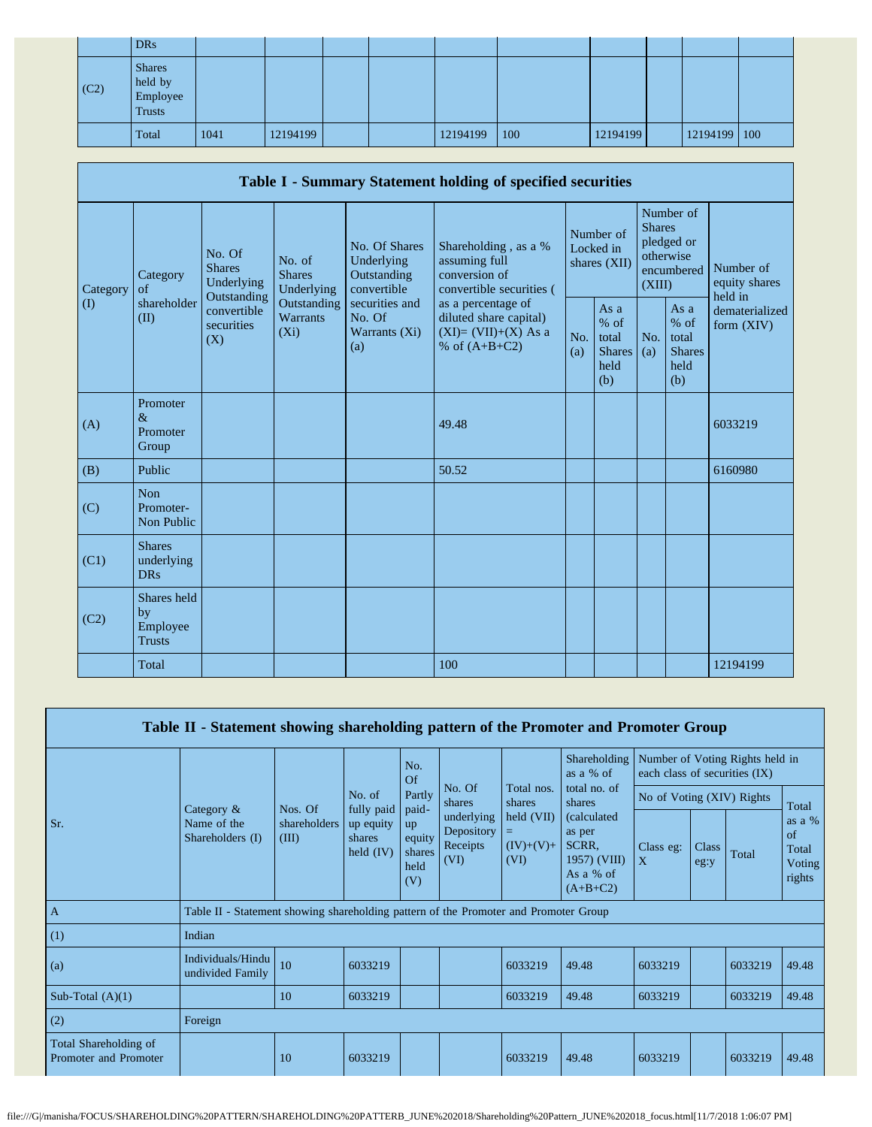|      | <b>DRs</b>                                            |      |          |  |          |     |          |              |  |
|------|-------------------------------------------------------|------|----------|--|----------|-----|----------|--------------|--|
| (C2) | <b>Shares</b><br>held by<br>Employee<br><b>Trusts</b> |      |          |  |          |     |          |              |  |
|      | Total                                                 | 1041 | 12194199 |  | 12194199 | 100 | 12194199 | 12194199 100 |  |

| Table I - Summary Statement holding of specified securities |                                                |                                                                                          |                                                                             |                                                                                                                 |                                                                                          |                                          |                                                         |                                                                               |                                                         |                                       |
|-------------------------------------------------------------|------------------------------------------------|------------------------------------------------------------------------------------------|-----------------------------------------------------------------------------|-----------------------------------------------------------------------------------------------------------------|------------------------------------------------------------------------------------------|------------------------------------------|---------------------------------------------------------|-------------------------------------------------------------------------------|---------------------------------------------------------|---------------------------------------|
| Category<br>$\rm(D)$                                        | Category<br>of<br>shareholder<br>(II)          | No. Of<br><b>Shares</b><br>Underlying<br>Outstanding<br>convertible<br>securities<br>(X) | No. of<br><b>Shares</b><br>Underlying<br>Outstanding<br>Warrants<br>$(X_i)$ | No. Of Shares<br>Underlying<br>Outstanding<br>convertible<br>securities and<br>No. Of<br>Warrants $(Xi)$<br>(a) | Shareholding, as a %<br>assuming full<br>conversion of<br>convertible securities (       | Number of<br>Locked in<br>shares $(XII)$ |                                                         | Number of<br><b>Shares</b><br>pledged or<br>otherwise<br>encumbered<br>(XIII) |                                                         | Number of<br>equity shares<br>held in |
|                                                             |                                                |                                                                                          |                                                                             |                                                                                                                 | as a percentage of<br>diluted share capital)<br>$(XI)=(VII)+(X)$ As a<br>% of $(A+B+C2)$ | No.<br>(a)                               | As a<br>$%$ of<br>total<br><b>Shares</b><br>held<br>(b) | No.<br>(a)                                                                    | As a<br>$%$ of<br>total<br><b>Shares</b><br>held<br>(b) | dematerialized<br>form $(XIV)$        |
| (A)                                                         | Promoter<br>$\&$<br>Promoter<br>Group          |                                                                                          |                                                                             |                                                                                                                 | 49.48                                                                                    |                                          |                                                         |                                                                               |                                                         | 6033219                               |
| (B)                                                         | Public                                         |                                                                                          |                                                                             |                                                                                                                 | 50.52                                                                                    |                                          |                                                         |                                                                               |                                                         | 6160980                               |
| (C)                                                         | <b>Non</b><br>Promoter-<br>Non Public          |                                                                                          |                                                                             |                                                                                                                 |                                                                                          |                                          |                                                         |                                                                               |                                                         |                                       |
| (C1)                                                        | <b>Shares</b><br>underlying<br><b>DRs</b>      |                                                                                          |                                                                             |                                                                                                                 |                                                                                          |                                          |                                                         |                                                                               |                                                         |                                       |
| (C2)                                                        | Shares held<br>by<br>Employee<br><b>Trusts</b> |                                                                                          |                                                                             |                                                                                                                 |                                                                                          |                                          |                                                         |                                                                               |                                                         |                                       |
|                                                             | Total                                          |                                                                                          |                                                                             |                                                                                                                 | 100                                                                                      |                                          |                                                         |                                                                               |                                                         | 12194199                              |

| Table II - Statement showing shareholding pattern of the Promoter and Promoter Group |                                                                                      |                                  |                                                            |                                                                       |                                              |                                   |                                                                                                             |                                                                  |               |         |                                                     |
|--------------------------------------------------------------------------------------|--------------------------------------------------------------------------------------|----------------------------------|------------------------------------------------------------|-----------------------------------------------------------------------|----------------------------------------------|-----------------------------------|-------------------------------------------------------------------------------------------------------------|------------------------------------------------------------------|---------------|---------|-----------------------------------------------------|
|                                                                                      |                                                                                      | Nos. Of<br>shareholders<br>(III) | No. of<br>fully paid<br>up equity<br>shares<br>held $(IV)$ | No.<br>Of<br>Partly<br>paid-<br>up<br>equity<br>shares<br>held<br>(V) |                                              |                                   | Shareholding<br>as a % of                                                                                   | Number of Voting Rights held in<br>each class of securities (IX) |               |         |                                                     |
|                                                                                      | Category $\&$<br>Name of the<br>Shareholders (I)                                     |                                  |                                                            |                                                                       | No. Of<br>shares                             | Total nos.<br>shares              | total no. of<br>shares<br><i>(calculated)</i><br>as per<br>SCRR.<br>1957) (VIII)<br>As a % of<br>$(A+B+C2)$ | No of Voting (XIV) Rights                                        |               |         | Total                                               |
| Sr.                                                                                  |                                                                                      |                                  |                                                            |                                                                       | underlying<br>Depository<br>Receipts<br>(VI) | held (VII)<br>$(IV)+(V)+$<br>(VI) |                                                                                                             | Class eg:<br>$\mathbf{X}$                                        | Class<br>eg:y | Total   | as a $%$<br>$\sigma$ f<br>Total<br>Voting<br>rights |
| $\overline{A}$                                                                       | Table II - Statement showing shareholding pattern of the Promoter and Promoter Group |                                  |                                                            |                                                                       |                                              |                                   |                                                                                                             |                                                                  |               |         |                                                     |
| (1)                                                                                  | Indian                                                                               |                                  |                                                            |                                                                       |                                              |                                   |                                                                                                             |                                                                  |               |         |                                                     |
| (a)                                                                                  | Individuals/Hindu<br>undivided Family                                                | 10                               | 6033219                                                    |                                                                       |                                              | 6033219                           | 49.48                                                                                                       | 6033219                                                          |               | 6033219 | 49.48                                               |
| Sub-Total $(A)(1)$                                                                   |                                                                                      | 10                               | 6033219                                                    |                                                                       |                                              | 6033219                           | 49.48                                                                                                       | 6033219                                                          |               | 6033219 | 49.48                                               |
| (2)                                                                                  | Foreign                                                                              |                                  |                                                            |                                                                       |                                              |                                   |                                                                                                             |                                                                  |               |         |                                                     |
| Total Shareholding of<br>Promoter and Promoter                                       |                                                                                      | 10                               | 6033219                                                    |                                                                       |                                              | 6033219                           | 49.48                                                                                                       | 6033219                                                          |               | 6033219 | 49.48                                               |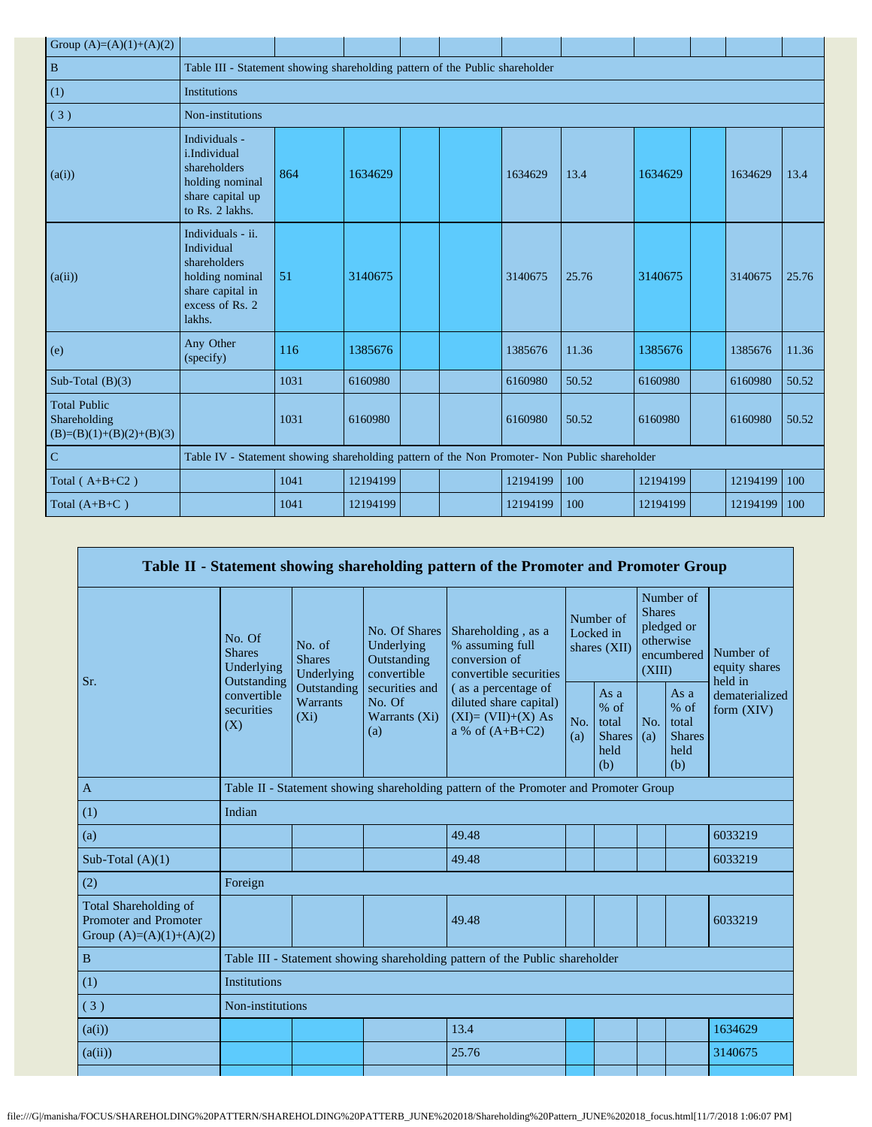| Group $(A)=(A)(1)+(A)(2)$                                         |                                                                                                                     |      |          |  |  |          |       |          |  |          |       |
|-------------------------------------------------------------------|---------------------------------------------------------------------------------------------------------------------|------|----------|--|--|----------|-------|----------|--|----------|-------|
| $\, {\bf B}$                                                      | Table III - Statement showing shareholding pattern of the Public shareholder                                        |      |          |  |  |          |       |          |  |          |       |
| (1)                                                               | Institutions                                                                                                        |      |          |  |  |          |       |          |  |          |       |
| (3)                                                               | Non-institutions                                                                                                    |      |          |  |  |          |       |          |  |          |       |
| (a(i))                                                            | Individuals -<br>i.Individual<br>shareholders<br>holding nominal<br>share capital up<br>to Rs. 2 lakhs.             | 864  | 1634629  |  |  | 1634629  | 13.4  | 1634629  |  | 1634629  | 13.4  |
| (a(ii))                                                           | Individuals - ii.<br>Individual<br>shareholders<br>holding nominal<br>share capital in<br>excess of Rs. 2<br>lakhs. | 51   | 3140675  |  |  | 3140675  | 25.76 | 3140675  |  | 3140675  | 25.76 |
| (e)                                                               | Any Other<br>(specify)                                                                                              | 116  | 1385676  |  |  | 1385676  | 11.36 | 1385676  |  | 1385676  | 11.36 |
| Sub-Total $(B)(3)$                                                |                                                                                                                     | 1031 | 6160980  |  |  | 6160980  | 50.52 | 6160980  |  | 6160980  | 50.52 |
| <b>Total Public</b><br>Shareholding<br>$(B)=(B)(1)+(B)(2)+(B)(3)$ |                                                                                                                     | 1031 | 6160980  |  |  | 6160980  | 50.52 | 6160980  |  | 6160980  | 50.52 |
| $\overline{C}$                                                    | Table IV - Statement showing shareholding pattern of the Non Promoter- Non Public shareholder                       |      |          |  |  |          |       |          |  |          |       |
| Total ( $A+B+C2$ )                                                |                                                                                                                     | 1041 | 12194199 |  |  | 12194199 | 100   | 12194199 |  | 12194199 | 100   |
| Total $(A+B+C)$                                                   |                                                                                                                     | 1041 | 12194199 |  |  | 12194199 | 100   | 12194199 |  | 12194199 | 100   |

| Table II - Statement showing shareholding pattern of the Promoter and Promoter Group |                                                      |                                       |                                                           |                                                                                           |                                        |                                                         |                                                                               |                                                         |                                       |
|--------------------------------------------------------------------------------------|------------------------------------------------------|---------------------------------------|-----------------------------------------------------------|-------------------------------------------------------------------------------------------|----------------------------------------|---------------------------------------------------------|-------------------------------------------------------------------------------|---------------------------------------------------------|---------------------------------------|
| Sr.                                                                                  | No. Of<br><b>Shares</b><br>Underlying<br>Outstanding | No. of<br><b>Shares</b><br>Underlying | No. Of Shares<br>Underlying<br>Outstanding<br>convertible | Shareholding, as a<br>% assuming full<br>conversion of<br>convertible securities          | Number of<br>Locked in<br>shares (XII) |                                                         | Number of<br><b>Shares</b><br>pledged or<br>otherwise<br>encumbered<br>(XIII) |                                                         | Number of<br>equity shares<br>held in |
|                                                                                      | convertible<br>securities<br>(X)                     | Outstanding<br>Warrants<br>$(X_i)$    | securities and<br>No. Of<br>Warrants (Xi)<br>(a)          | (as a percentage of<br>diluted share capital)<br>$(XI)=(VII)+(X) As$<br>a % of $(A+B+C2)$ | No.<br>(a)                             | As a<br>$%$ of<br>total<br><b>Shares</b><br>held<br>(b) | No.<br>(a)                                                                    | As a<br>$%$ of<br>total<br><b>Shares</b><br>held<br>(b) | dematerialized<br>form $(XIV)$        |
| $\mathbf{A}$                                                                         |                                                      |                                       |                                                           | Table II - Statement showing shareholding pattern of the Promoter and Promoter Group      |                                        |                                                         |                                                                               |                                                         |                                       |
| (1)                                                                                  | Indian                                               |                                       |                                                           |                                                                                           |                                        |                                                         |                                                                               |                                                         |                                       |
| (a)                                                                                  |                                                      |                                       |                                                           | 49.48                                                                                     |                                        |                                                         |                                                                               |                                                         | 6033219                               |
| Sub-Total $(A)(1)$                                                                   |                                                      |                                       |                                                           | 49.48                                                                                     |                                        |                                                         |                                                                               |                                                         | 6033219                               |
| (2)                                                                                  | Foreign                                              |                                       |                                                           |                                                                                           |                                        |                                                         |                                                                               |                                                         |                                       |
| Total Shareholding of<br>Promoter and Promoter<br>Group $(A)=(A)(1)+(A)(2)$          |                                                      |                                       |                                                           | 49.48                                                                                     |                                        |                                                         |                                                                               |                                                         | 6033219                               |
| $\, {\bf B}$                                                                         |                                                      |                                       |                                                           | Table III - Statement showing shareholding pattern of the Public shareholder              |                                        |                                                         |                                                                               |                                                         |                                       |
| (1)                                                                                  | <b>Institutions</b>                                  |                                       |                                                           |                                                                                           |                                        |                                                         |                                                                               |                                                         |                                       |
| (3)                                                                                  | Non-institutions                                     |                                       |                                                           |                                                                                           |                                        |                                                         |                                                                               |                                                         |                                       |
| (a(i))                                                                               |                                                      |                                       |                                                           | 13.4                                                                                      |                                        |                                                         |                                                                               |                                                         | 1634629                               |
| (a(ii))                                                                              |                                                      |                                       |                                                           | 25.76                                                                                     |                                        |                                                         |                                                                               |                                                         | 3140675                               |
|                                                                                      |                                                      |                                       |                                                           |                                                                                           |                                        |                                                         |                                                                               |                                                         |                                       |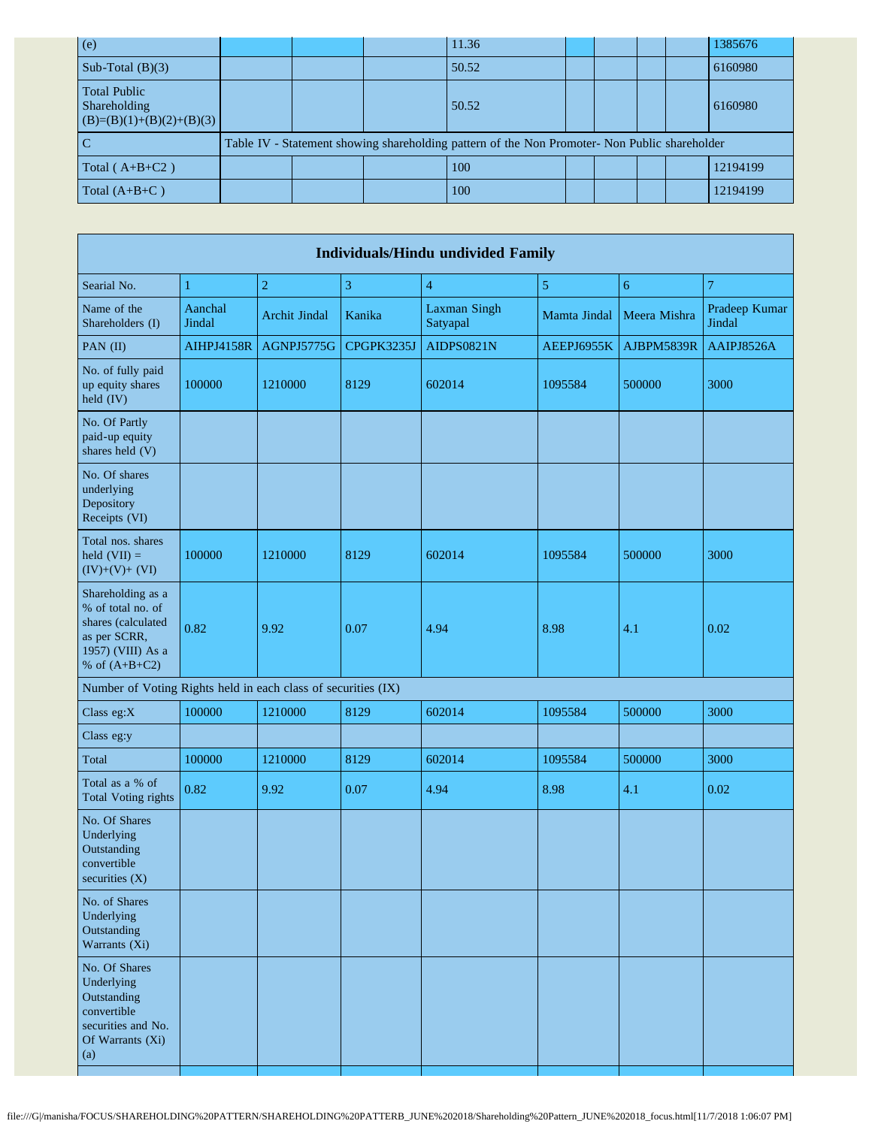| (e)                                                               |  | 11.36                                                                                         |  |  | 1385676  |
|-------------------------------------------------------------------|--|-----------------------------------------------------------------------------------------------|--|--|----------|
| Sub-Total $(B)(3)$                                                |  | 50.52                                                                                         |  |  | 6160980  |
| <b>Total Public</b><br>Shareholding<br>$(B)=(B)(1)+(B)(2)+(B)(3)$ |  | 50.52                                                                                         |  |  | 6160980  |
|                                                                   |  | Table IV - Statement showing shareholding pattern of the Non Promoter- Non Public shareholder |  |  |          |
| Total $(A+B+C2)$                                                  |  | 100                                                                                           |  |  | 12194199 |
| Total $(A+B+C)$                                                   |  | 100                                                                                           |  |  | 12194199 |

| <b>Individuals/Hindu undivided Family</b>                                                                            |                   |                      |              |                                 |              |              |                         |  |  |
|----------------------------------------------------------------------------------------------------------------------|-------------------|----------------------|--------------|---------------------------------|--------------|--------------|-------------------------|--|--|
| Searial No.                                                                                                          | 1                 | $\overline{2}$       | $\mathbf{3}$ | $\overline{4}$                  | 5            | 6            | $\overline{7}$          |  |  |
| Name of the<br>Shareholders (I)                                                                                      | Aanchal<br>Jindal | <b>Archit Jindal</b> | Kanika       | <b>Laxman Singh</b><br>Satyapal | Mamta Jindal | Meera Mishra | Pradeep Kumar<br>Jindal |  |  |
| PAN (II)                                                                                                             | <b>AIHPJ4158R</b> | AGNPJ5775G           | CPGPK3235J   | <b>AIDPS0821N</b>               | AEEPJ6955K   | AJBPM5839R   | AAIPJ8526A              |  |  |
| No. of fully paid<br>up equity shares<br>held (IV)                                                                   | 100000            | 1210000              | 8129         | 602014                          | 1095584      | 500000       | 3000                    |  |  |
| No. Of Partly<br>paid-up equity<br>shares held (V)                                                                   |                   |                      |              |                                 |              |              |                         |  |  |
| No. Of shares<br>underlying<br>Depository<br>Receipts (VI)                                                           |                   |                      |              |                                 |              |              |                         |  |  |
| Total nos. shares<br>held $(VII) =$<br>$(IV)+(V)+(VI)$                                                               | 100000            | 1210000              | 8129         | 602014                          | 1095584      | 500000       | 3000                    |  |  |
| Shareholding as a<br>% of total no. of<br>shares (calculated<br>as per SCRR,<br>1957) (VIII) As a<br>% of $(A+B+C2)$ | 0.82              | 9.92                 | 0.07         | 4.94                            | 8.98         | 4.1          | 0.02                    |  |  |
| Number of Voting Rights held in each class of securities (IX)                                                        |                   |                      |              |                                 |              |              |                         |  |  |
| Class eg:X                                                                                                           | 100000            | 1210000              | 8129         | 602014                          | 1095584      | 500000       | 3000                    |  |  |
| Class eg:y                                                                                                           |                   |                      |              |                                 |              |              |                         |  |  |
| Total                                                                                                                | 100000            | 1210000              | 8129         | 602014                          | 1095584      | 500000       | 3000                    |  |  |
| Total as a % of<br><b>Total Voting rights</b>                                                                        | 0.82              | 9.92                 | 0.07         | 4.94                            | 8.98         | 4.1          | 0.02                    |  |  |
| No. Of Shares<br>Underlying<br>Outstanding<br>convertible<br>securities (X)                                          |                   |                      |              |                                 |              |              |                         |  |  |
| No. of Shares<br>Underlying<br>Outstanding<br>Warrants (Xi)                                                          |                   |                      |              |                                 |              |              |                         |  |  |
| No. Of Shares<br>Underlying<br>Outstanding<br>convertible<br>securities and No.<br>Of Warrants (Xi)<br>(a)           |                   |                      |              |                                 |              |              |                         |  |  |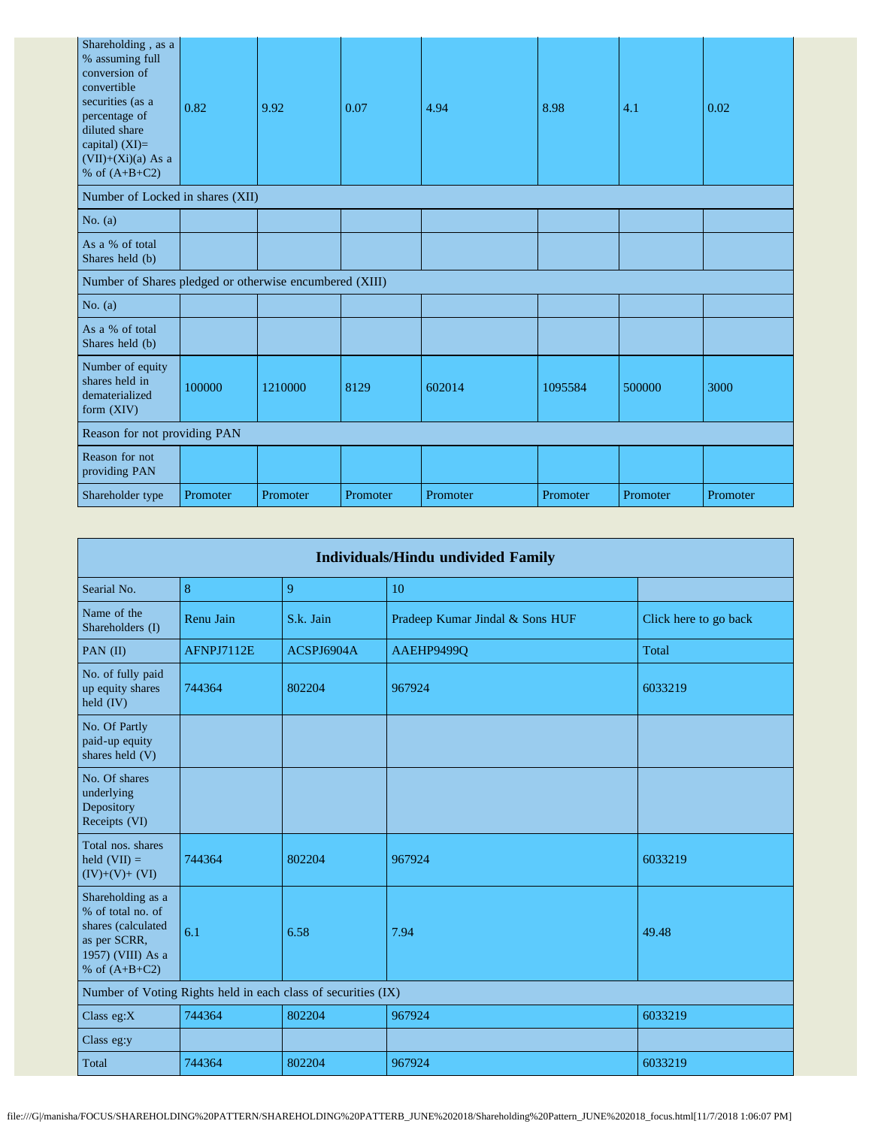| Shareholding, as a<br>% assuming full<br>conversion of<br>convertible<br>securities (as a<br>percentage of<br>diluted share<br>capital) $(XI)=$<br>$(VII)+(Xi)(a)$ As a<br>% of $(A+B+C2)$ | 0.82     | 9.92     | 0.07     | 4.94     | 8.98     | 4.1      | 0.02     |
|--------------------------------------------------------------------------------------------------------------------------------------------------------------------------------------------|----------|----------|----------|----------|----------|----------|----------|
| Number of Locked in shares (XII)                                                                                                                                                           |          |          |          |          |          |          |          |
| No. $(a)$                                                                                                                                                                                  |          |          |          |          |          |          |          |
| As a % of total<br>Shares held (b)                                                                                                                                                         |          |          |          |          |          |          |          |
| Number of Shares pledged or otherwise encumbered (XIII)                                                                                                                                    |          |          |          |          |          |          |          |
| No. $(a)$                                                                                                                                                                                  |          |          |          |          |          |          |          |
| As a % of total<br>Shares held (b)                                                                                                                                                         |          |          |          |          |          |          |          |
| Number of equity<br>shares held in<br>dematerialized<br>form (XIV)                                                                                                                         | 100000   | 1210000  | 8129     | 602014   | 1095584  | 500000   | 3000     |
| Reason for not providing PAN                                                                                                                                                               |          |          |          |          |          |          |          |
| Reason for not<br>providing PAN                                                                                                                                                            |          |          |          |          |          |          |          |
| Shareholder type                                                                                                                                                                           | Promoter | Promoter | Promoter | Promoter | Promoter | Promoter | Promoter |

| <b>Individuals/Hindu undivided Family</b>                                                                            |                   |            |                                 |                       |  |  |  |  |  |
|----------------------------------------------------------------------------------------------------------------------|-------------------|------------|---------------------------------|-----------------------|--|--|--|--|--|
| Searial No.                                                                                                          | 8                 | 9          | 10                              |                       |  |  |  |  |  |
| Name of the<br>Shareholders (I)                                                                                      | Renu Jain         | S.k. Jain  | Pradeep Kumar Jindal & Sons HUF | Click here to go back |  |  |  |  |  |
| PAN (II)                                                                                                             | <b>AFNPJ7112E</b> | ACSPJ6904A | AAEHP9499Q                      | Total                 |  |  |  |  |  |
| No. of fully paid<br>up equity shares<br>held (IV)                                                                   | 744364            | 802204     | 967924                          | 6033219               |  |  |  |  |  |
| No. Of Partly<br>paid-up equity<br>shares held (V)                                                                   |                   |            |                                 |                       |  |  |  |  |  |
| No. Of shares<br>underlying<br>Depository<br>Receipts (VI)                                                           |                   |            |                                 |                       |  |  |  |  |  |
| Total nos. shares<br>held $(VII) =$<br>$(IV)+(V)+(VI)$                                                               | 744364            | 802204     | 967924                          | 6033219               |  |  |  |  |  |
| Shareholding as a<br>% of total no. of<br>shares (calculated<br>as per SCRR,<br>1957) (VIII) As a<br>% of $(A+B+C2)$ | 6.1               | 6.58       | 7.94                            | 49.48                 |  |  |  |  |  |
| Number of Voting Rights held in each class of securities (IX)                                                        |                   |            |                                 |                       |  |  |  |  |  |
| Class $eg:X$                                                                                                         | 744364            | 802204     | 967924                          | 6033219               |  |  |  |  |  |
| Class eg:y                                                                                                           |                   |            |                                 |                       |  |  |  |  |  |
| Total                                                                                                                | 744364            | 802204     | 967924                          | 6033219               |  |  |  |  |  |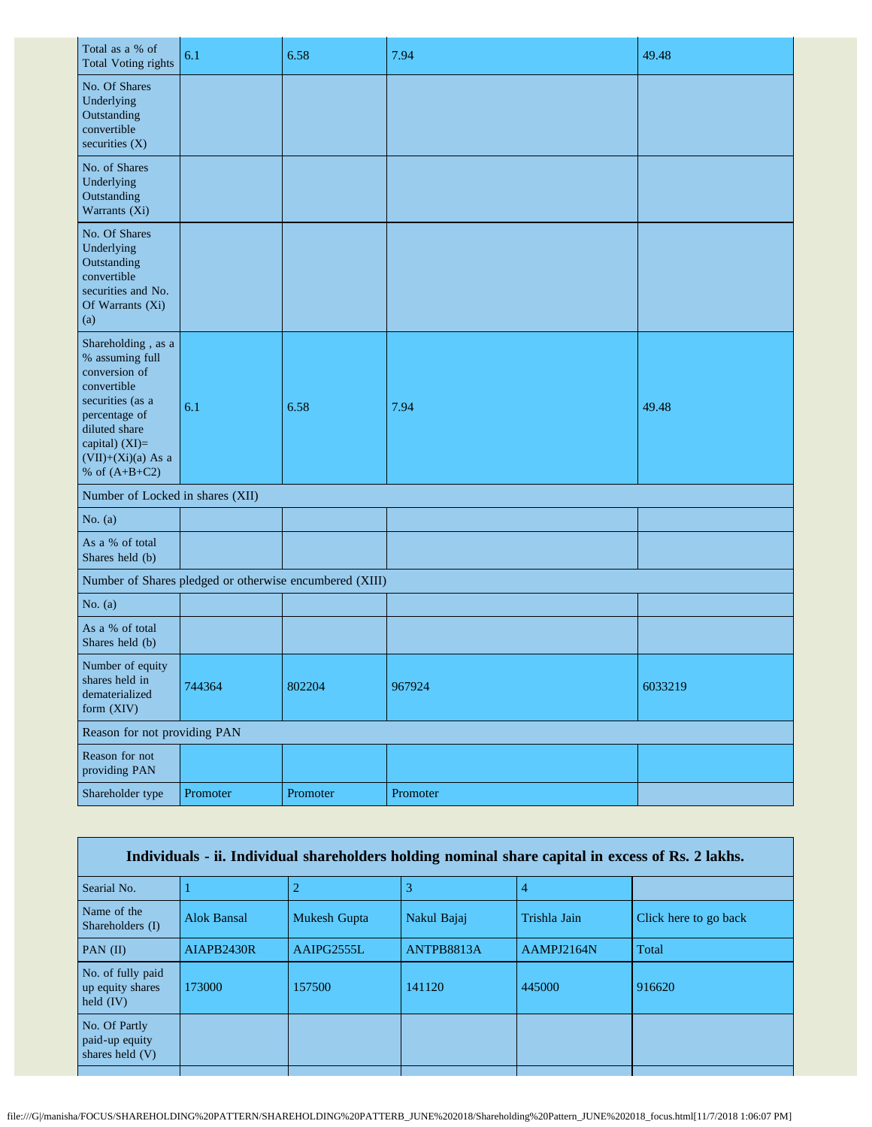| Total as a % of<br><b>Total Voting rights</b>                                                                                                                                            | 6.1      | 6.58     | 7.94     | 49.48   |  |  |
|------------------------------------------------------------------------------------------------------------------------------------------------------------------------------------------|----------|----------|----------|---------|--|--|
| No. Of Shares<br>Underlying<br>Outstanding<br>convertible<br>securities $(X)$                                                                                                            |          |          |          |         |  |  |
| No. of Shares<br>Underlying<br>Outstanding<br>Warrants (Xi)                                                                                                                              |          |          |          |         |  |  |
| No. Of Shares<br>Underlying<br>Outstanding<br>convertible<br>securities and No.<br>Of Warrants (Xi)<br>(a)                                                                               |          |          |          |         |  |  |
| Shareholding, as a<br>% assuming full<br>conversion of<br>convertible<br>securities (as a<br>percentage of<br>diluted share<br>capital) (XI)=<br>$(VII)+(Xi)(a)$ As a<br>% of $(A+B+C2)$ | 6.1      | 6.58     | 7.94     | 49.48   |  |  |
| Number of Locked in shares (XII)                                                                                                                                                         |          |          |          |         |  |  |
| No. $(a)$                                                                                                                                                                                |          |          |          |         |  |  |
| As a % of total<br>Shares held (b)                                                                                                                                                       |          |          |          |         |  |  |
| Number of Shares pledged or otherwise encumbered (XIII)                                                                                                                                  |          |          |          |         |  |  |
| No. $(a)$                                                                                                                                                                                |          |          |          |         |  |  |
| As a % of total<br>Shares held (b)                                                                                                                                                       |          |          |          |         |  |  |
| Number of equity<br>shares held in<br>dematerialized<br>form (XIV)                                                                                                                       | 744364   | 802204   | 967924   | 6033219 |  |  |
| Reason for not providing PAN                                                                                                                                                             |          |          |          |         |  |  |
| Reason for not<br>providing PAN                                                                                                                                                          |          |          |          |         |  |  |
| Shareholder type                                                                                                                                                                         | Promoter | Promoter | Promoter |         |  |  |

| Individuals - ii. Individual shareholders holding nominal share capital in excess of Rs. 2 lakhs. |                    |              |             |              |                       |  |  |
|---------------------------------------------------------------------------------------------------|--------------------|--------------|-------------|--------------|-----------------------|--|--|
| Searial No.                                                                                       |                    |              |             |              |                       |  |  |
| Name of the<br>Shareholders (I)                                                                   | <b>Alok Bansal</b> | Mukesh Gupta | Nakul Bajaj | Trishla Jain | Click here to go back |  |  |
| PAN $(II)$                                                                                        | AIAPB2430R         | AAIPG2555L   | ANTPB8813A  | AAMPJ2164N   | Total                 |  |  |
| No. of fully paid<br>up equity shares<br>held $(IV)$                                              | 173000             | 157500       | 141120      | 445000       | 916620                |  |  |
| No. Of Partly<br>paid-up equity<br>shares held $(V)$                                              |                    |              |             |              |                       |  |  |
|                                                                                                   |                    |              |             |              |                       |  |  |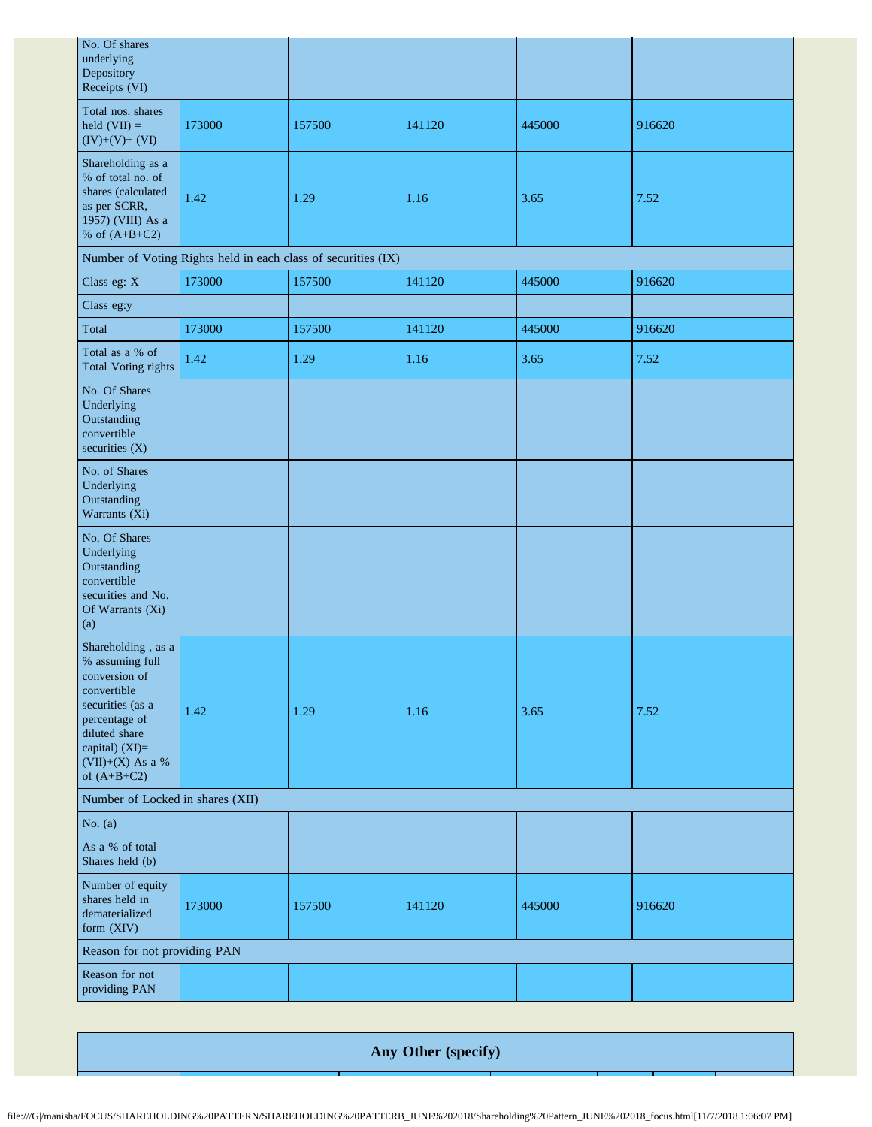| No. Of shares<br>underlying<br>Depository<br>Receipts (VI)                                                                                                                         |        |                                                               |        |        |        |  |  |
|------------------------------------------------------------------------------------------------------------------------------------------------------------------------------------|--------|---------------------------------------------------------------|--------|--------|--------|--|--|
| Total nos. shares<br>held $(VII) =$<br>$(IV)+(V)+(VI)$                                                                                                                             | 173000 | 157500                                                        | 141120 | 445000 | 916620 |  |  |
| Shareholding as a<br>% of total no. of<br>shares (calculated<br>as per SCRR,<br>1957) (VIII) As a<br>% of $(A+B+C2)$                                                               | 1.42   | 1.29                                                          | 1.16   | 3.65   | 7.52   |  |  |
|                                                                                                                                                                                    |        | Number of Voting Rights held in each class of securities (IX) |        |        |        |  |  |
| Class eg: X                                                                                                                                                                        | 173000 | 157500                                                        | 141120 | 445000 | 916620 |  |  |
| Class eg:y                                                                                                                                                                         |        |                                                               |        |        |        |  |  |
| Total                                                                                                                                                                              | 173000 | 157500                                                        | 141120 | 445000 | 916620 |  |  |
| Total as a % of<br><b>Total Voting rights</b>                                                                                                                                      | 1.42   | 1.29                                                          | 1.16   | 3.65   | 7.52   |  |  |
| No. Of Shares<br>Underlying<br>Outstanding<br>convertible<br>securities (X)                                                                                                        |        |                                                               |        |        |        |  |  |
| No. of Shares<br>Underlying<br>Outstanding<br>Warrants (Xi)                                                                                                                        |        |                                                               |        |        |        |  |  |
| No. Of Shares<br>Underlying<br>Outstanding<br>convertible<br>securities and No.<br>Of Warrants (Xi)<br>(a)                                                                         |        |                                                               |        |        |        |  |  |
| Shareholding, as a<br>% assuming full<br>conversion of<br>convertible<br>securities (as a<br>percentage of<br>diluted share<br>capital) (XI)=<br>(VII)+(X) As a %<br>of $(A+B+C2)$ | 1.42   | 1.29                                                          | 1.16   | 3.65   | 7.52   |  |  |
| Number of Locked in shares (XII)                                                                                                                                                   |        |                                                               |        |        |        |  |  |
| No. $(a)$                                                                                                                                                                          |        |                                                               |        |        |        |  |  |
| As a % of total<br>Shares held (b)                                                                                                                                                 |        |                                                               |        |        |        |  |  |
| Number of equity<br>shares held in<br>dematerialized<br>form (XIV)                                                                                                                 | 173000 | 157500                                                        | 141120 | 445000 | 916620 |  |  |
| Reason for not providing PAN                                                                                                                                                       |        |                                                               |        |        |        |  |  |
| Reason for not<br>providing PAN                                                                                                                                                    |        |                                                               |        |        |        |  |  |

**Any Other (specify)**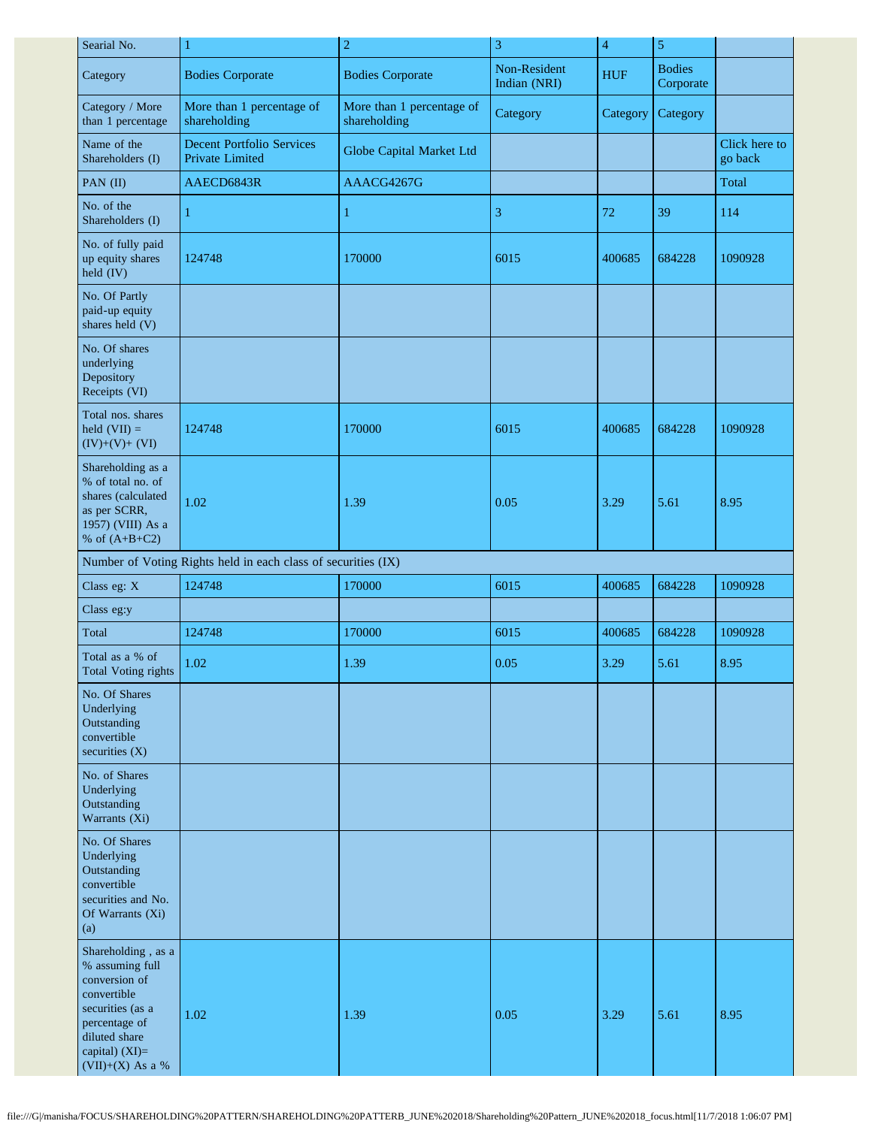| Searial No.                                                                                                                                                         | $\overline{c}$<br>$\mathbf{1}$                                |                                           | 3                            | $\overline{\mathbf{4}}$ | $\sqrt{5}$                 |                          |
|---------------------------------------------------------------------------------------------------------------------------------------------------------------------|---------------------------------------------------------------|-------------------------------------------|------------------------------|-------------------------|----------------------------|--------------------------|
| Category                                                                                                                                                            | <b>Bodies Corporate</b>                                       | <b>Bodies Corporate</b>                   | Non-Resident<br>Indian (NRI) | <b>HUF</b>              | <b>Bodies</b><br>Corporate |                          |
| Category / More<br>than 1 percentage                                                                                                                                | More than 1 percentage of<br>shareholding                     | More than 1 percentage of<br>shareholding | Category                     | Category                | Category                   |                          |
| Name of the<br>Shareholders (I)                                                                                                                                     | <b>Decent Portfolio Services</b><br>Private Limited           | Globe Capital Market Ltd                  |                              |                         |                            | Click here to<br>go back |
| PAN (II)                                                                                                                                                            | AAECD6843R                                                    | AAACG4267G                                |                              |                         |                            | Total                    |
| No. of the<br>Shareholders (I)                                                                                                                                      | 1                                                             | $\mathbf{1}$                              | 3                            | 72                      | 39                         | 114                      |
| No. of fully paid<br>up equity shares<br>held (IV)                                                                                                                  | 124748                                                        | 170000                                    | 6015                         | 400685                  | 684228                     | 1090928                  |
| No. Of Partly<br>paid-up equity<br>shares held (V)                                                                                                                  |                                                               |                                           |                              |                         |                            |                          |
| No. Of shares<br>underlying<br>Depository<br>Receipts (VI)                                                                                                          |                                                               |                                           |                              |                         |                            |                          |
| Total nos. shares<br>held $(VII) =$<br>$(IV)+(V)+(VI)$                                                                                                              | 124748                                                        | 170000                                    | 6015                         | 400685                  | 684228                     | 1090928                  |
| Shareholding as a<br>% of total no. of<br>shares (calculated<br>as per SCRR,<br>1957) (VIII) As a<br>% of $(A+B+C2)$                                                | 1.02                                                          | 1.39                                      | 0.05                         | 3.29                    | 5.61                       | 8.95                     |
|                                                                                                                                                                     | Number of Voting Rights held in each class of securities (IX) |                                           |                              |                         |                            |                          |
| Class eg: X                                                                                                                                                         | 124748                                                        | 170000                                    | 6015                         | 400685                  | 684228                     | 1090928                  |
| Class eg:y                                                                                                                                                          |                                                               |                                           |                              |                         |                            |                          |
| Total                                                                                                                                                               | 124748                                                        | 170000                                    | 6015                         | 400685                  | 684228                     | 1090928                  |
| Total as a % of<br><b>Total Voting rights</b>                                                                                                                       | 1.02                                                          | 1.39                                      | 0.05                         | 3.29                    | 5.61                       | 8.95                     |
| No. Of Shares<br>Underlying<br>Outstanding<br>convertible<br>securities $(X)$                                                                                       |                                                               |                                           |                              |                         |                            |                          |
| No. of Shares<br>Underlying<br>Outstanding<br>Warrants (Xi)                                                                                                         |                                                               |                                           |                              |                         |                            |                          |
| No. Of Shares<br>Underlying<br>Outstanding<br>convertible<br>securities and No.<br>Of Warrants (Xi)<br>(a)                                                          |                                                               |                                           |                              |                         |                            |                          |
| Shareholding, as a<br>% assuming full<br>conversion of<br>convertible<br>securities (as a<br>percentage of<br>diluted share<br>capital) (XI)=<br>$(VII)+(X)$ As a % | 1.02                                                          | 1.39                                      | 0.05                         | 3.29                    | 5.61                       | 8.95                     |